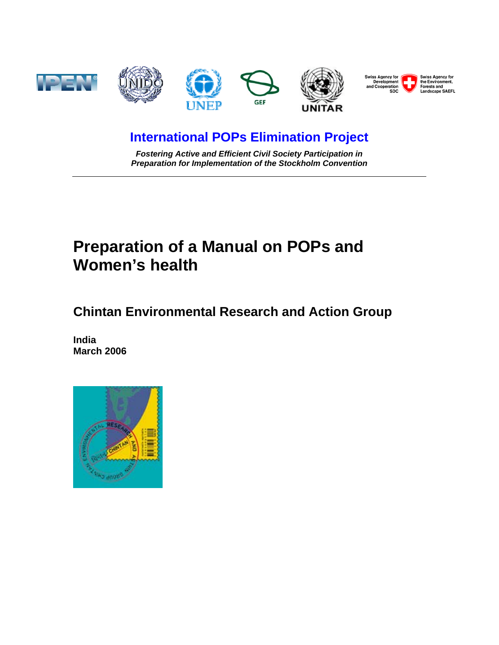

# **International POPs Elimination Project**

*Fostering Active and Efficient Civil Society Participation in Preparation for Implementation of the Stockholm Convention* 

# **Preparation of a Manual on POPs and Women's health**

**Chintan Environmental Research and Action Group** 

**India March 2006** 

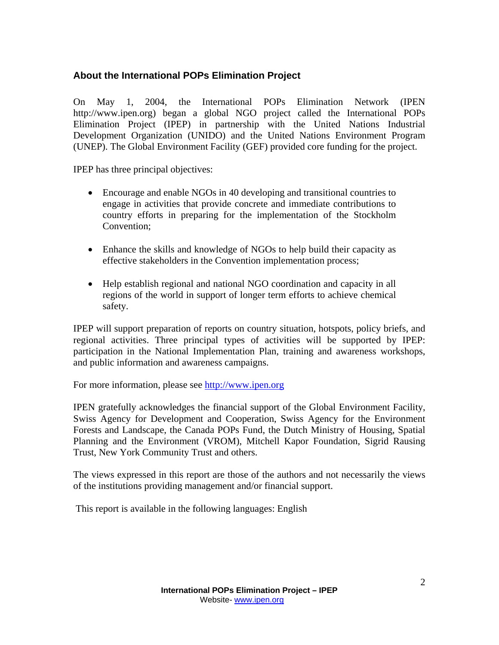## **About the International POPs Elimination Project**

On May 1, 2004, the International POPs Elimination Network (IPEN http://www.ipen.org) began a global NGO project called the International POPs Elimination Project (IPEP) in partnership with the United Nations Industrial Development Organization (UNIDO) and the United Nations Environment Program (UNEP). The Global Environment Facility (GEF) provided core funding for the project.

IPEP has three principal objectives:

- Encourage and enable NGOs in 40 developing and transitional countries to engage in activities that provide concrete and immediate contributions to country efforts in preparing for the implementation of the Stockholm Convention;
- Enhance the skills and knowledge of NGOs to help build their capacity as effective stakeholders in the Convention implementation process;
- Help establish regional and national NGO coordination and capacity in all regions of the world in support of longer term efforts to achieve chemical safety.

IPEP will support preparation of reports on country situation, hotspots, policy briefs, and regional activities. Three principal types of activities will be supported by IPEP: participation in the National Implementation Plan, training and awareness workshops, and public information and awareness campaigns.

For more information, please see http://www.ipen.org

IPEN gratefully acknowledges the financial support of the Global Environment Facility, Swiss Agency for Development and Cooperation, Swiss Agency for the Environment Forests and Landscape, the Canada POPs Fund, the Dutch Ministry of Housing, Spatial Planning and the Environment (VROM), Mitchell Kapor Foundation, Sigrid Rausing Trust, New York Community Trust and others.

The views expressed in this report are those of the authors and not necessarily the views of the institutions providing management and/or financial support.

This report is available in the following languages: English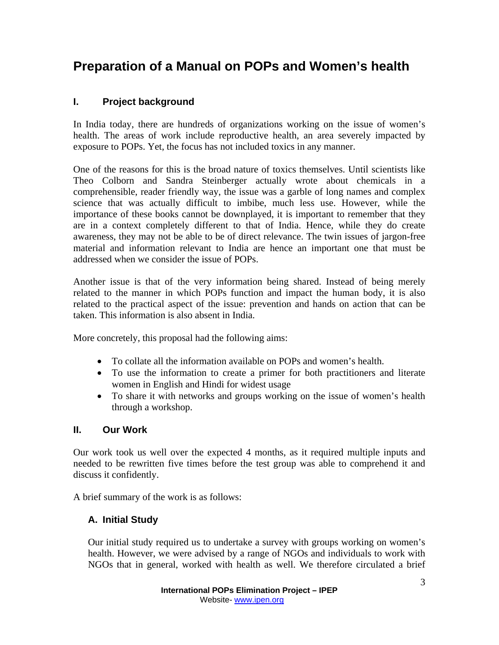# **Preparation of a Manual on POPs and Women's health**

# **I. Project background**

In India today, there are hundreds of organizations working on the issue of women's health. The areas of work include reproductive health, an area severely impacted by exposure to POPs. Yet, the focus has not included toxics in any manner.

One of the reasons for this is the broad nature of toxics themselves. Until scientists like Theo Colborn and Sandra Steinberger actually wrote about chemicals in a comprehensible, reader friendly way, the issue was a garble of long names and complex science that was actually difficult to imbibe, much less use. However, while the importance of these books cannot be downplayed, it is important to remember that they are in a context completely different to that of India. Hence, while they do create awareness, they may not be able to be of direct relevance. The twin issues of jargon-free material and information relevant to India are hence an important one that must be addressed when we consider the issue of POPs.

Another issue is that of the very information being shared. Instead of being merely related to the manner in which POPs function and impact the human body, it is also related to the practical aspect of the issue: prevention and hands on action that can be taken. This information is also absent in India.

More concretely, this proposal had the following aims:

- To collate all the information available on POPs and women's health.
- To use the information to create a primer for both practitioners and literate women in English and Hindi for widest usage
- To share it with networks and groups working on the issue of women's health through a workshop.

## **II. Our Work**

Our work took us well over the expected 4 months, as it required multiple inputs and needed to be rewritten five times before the test group was able to comprehend it and discuss it confidently.

A brief summary of the work is as follows:

## **A. Initial Study**

Our initial study required us to undertake a survey with groups working on women's health. However, we were advised by a range of NGOs and individuals to work with NGOs that in general, worked with health as well. We therefore circulated a brief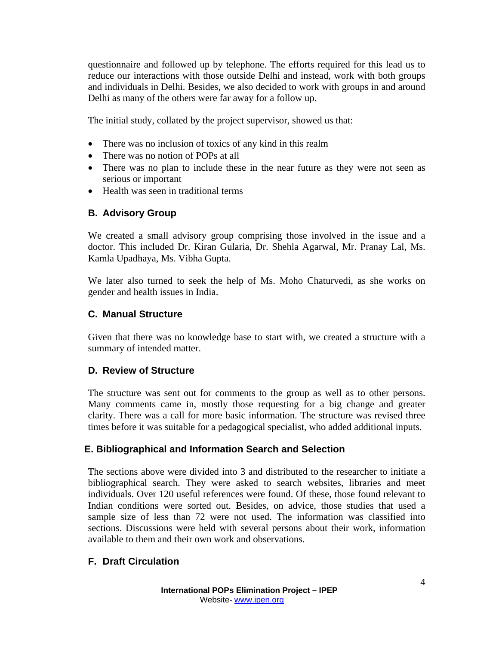questionnaire and followed up by telephone. The efforts required for this lead us to reduce our interactions with those outside Delhi and instead, work with both groups and individuals in Delhi. Besides, we also decided to work with groups in and around Delhi as many of the others were far away for a follow up.

The initial study, collated by the project supervisor, showed us that:

- There was no inclusion of toxics of any kind in this realm
- There was no notion of POPs at all
- There was no plan to include these in the near future as they were not seen as serious or important
- Health was seen in traditional terms

#### **B. Advisory Group**

We created a small advisory group comprising those involved in the issue and a doctor. This included Dr. Kiran Gularia, Dr. Shehla Agarwal, Mr. Pranay Lal, Ms. Kamla Upadhaya, Ms. Vibha Gupta.

We later also turned to seek the help of Ms. Moho Chaturvedi, as she works on gender and health issues in India.

#### **C. Manual Structure**

Given that there was no knowledge base to start with, we created a structure with a summary of intended matter.

#### **D. Review of Structure**

The structure was sent out for comments to the group as well as to other persons. Many comments came in, mostly those requesting for a big change and greater clarity. There was a call for more basic information. The structure was revised three times before it was suitable for a pedagogical specialist, who added additional inputs.

#### **E. Bibliographical and Information Search and Selection**

The sections above were divided into 3 and distributed to the researcher to initiate a bibliographical search. They were asked to search websites, libraries and meet individuals. Over 120 useful references were found. Of these, those found relevant to Indian conditions were sorted out. Besides, on advice, those studies that used a sample size of less than 72 were not used. The information was classified into sections. Discussions were held with several persons about their work, information available to them and their own work and observations.

#### **F. Draft Circulation**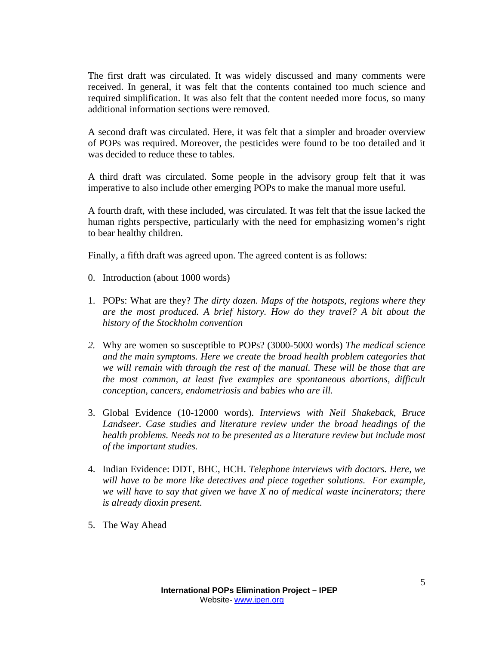The first draft was circulated. It was widely discussed and many comments were received. In general, it was felt that the contents contained too much science and required simplification. It was also felt that the content needed more focus, so many additional information sections were removed.

A second draft was circulated. Here, it was felt that a simpler and broader overview of POPs was required. Moreover, the pesticides were found to be too detailed and it was decided to reduce these to tables.

A third draft was circulated. Some people in the advisory group felt that it was imperative to also include other emerging POPs to make the manual more useful.

A fourth draft, with these included, was circulated. It was felt that the issue lacked the human rights perspective, particularly with the need for emphasizing women's right to bear healthy children.

Finally, a fifth draft was agreed upon. The agreed content is as follows:

- 0. Introduction (about 1000 words)
- 1. POPs: What are they? *The dirty dozen. Maps of the hotspots, regions where they are the most produced. A brief history. How do they travel? A bit about the history of the Stockholm convention*
- *2.* Why are women so susceptible to POPs? (3000-5000 words) *The medical science and the main symptoms. Here we create the broad health problem categories that we will remain with through the rest of the manual. These will be those that are the most common, at least five examples are spontaneous abortions, difficult conception, cancers, endometriosis and babies who are ill.*
- 3. Global Evidence (10-12000 words). *Interviews with Neil Shakeback, Bruce Landseer. Case studies and literature review under the broad headings of the health problems. Needs not to be presented as a literature review but include most of the important studies.*
- 4. Indian Evidence: DDT, BHC, HCH. *Telephone interviews with doctors. Here, we will have to be more like detectives and piece together solutions. For example, we will have to say that given we have X no of medical waste incinerators; there is already dioxin present*.
- 5. The Way Ahead